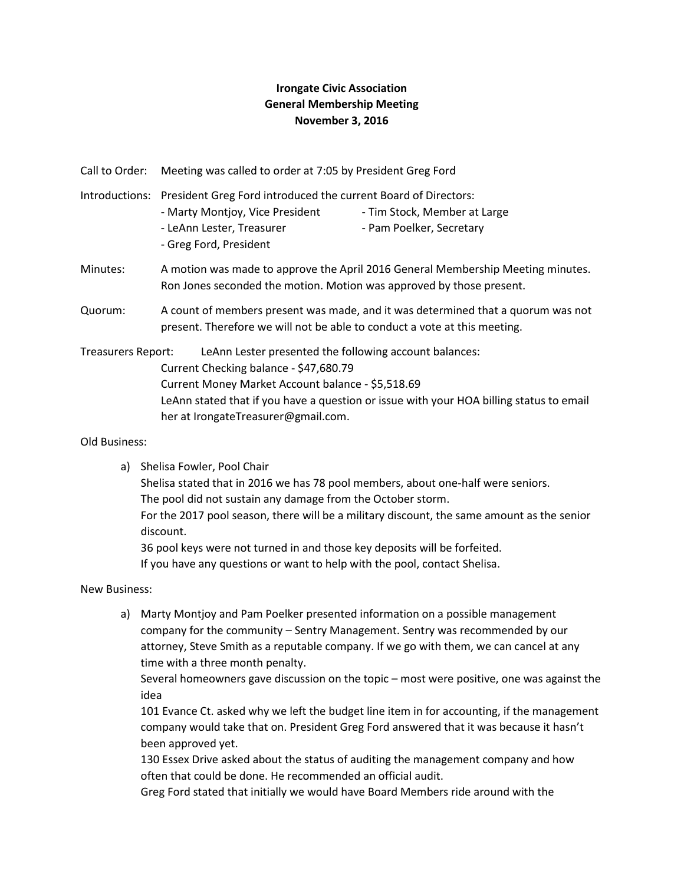## **Irongate Civic Association General Membership Meeting November 3, 2016**

Call to Order: Meeting was called to order at 7:05 by President Greg Ford

- Introductions: President Greg Ford introduced the current Board of Directors: - Marty Montjoy, Vice President - Tim Stock, Member at Large - LeAnn Lester, Treasurer - Pam Poelker, Secretary
	- Greg Ford, President
- Minutes: A motion was made to approve the April 2016 General Membership Meeting minutes. Ron Jones seconded the motion. Motion was approved by those present.
- Quorum: A count of members present was made, and it was determined that a quorum was not present. Therefore we will not be able to conduct a vote at this meeting.

Treasurers Report: LeAnn Lester presented the following account balances: Current Checking balance - \$47,680.79 Current Money Market Account balance - \$5,518.69 LeAnn stated that if you have a question or issue with your HOA billing status to email her at [IrongateTreasurer@gmail.com.](mailto:IrongateTreasurer@gmail.com)

Old Business:

a) Shelisa Fowler, Pool Chair

Shelisa stated that in 2016 we has 78 pool members, about one-half were seniors. The pool did not sustain any damage from the October storm.

For the 2017 pool season, there will be a military discount, the same amount as the senior discount.

36 pool keys were not turned in and those key deposits will be forfeited.

If you have any questions or want to help with the pool, contact Shelisa.

New Business:

a) Marty Montjoy and Pam Poelker presented information on a possible management company for the community – Sentry Management. Sentry was recommended by our attorney, Steve Smith as a reputable company. If we go with them, we can cancel at any time with a three month penalty.

Several homeowners gave discussion on the topic – most were positive, one was against the idea

101 Evance Ct. asked why we left the budget line item in for accounting, if the management company would take that on. President Greg Ford answered that it was because it hasn't been approved yet.

130 Essex Drive asked about the status of auditing the management company and how often that could be done. He recommended an official audit.

Greg Ford stated that initially we would have Board Members ride around with the